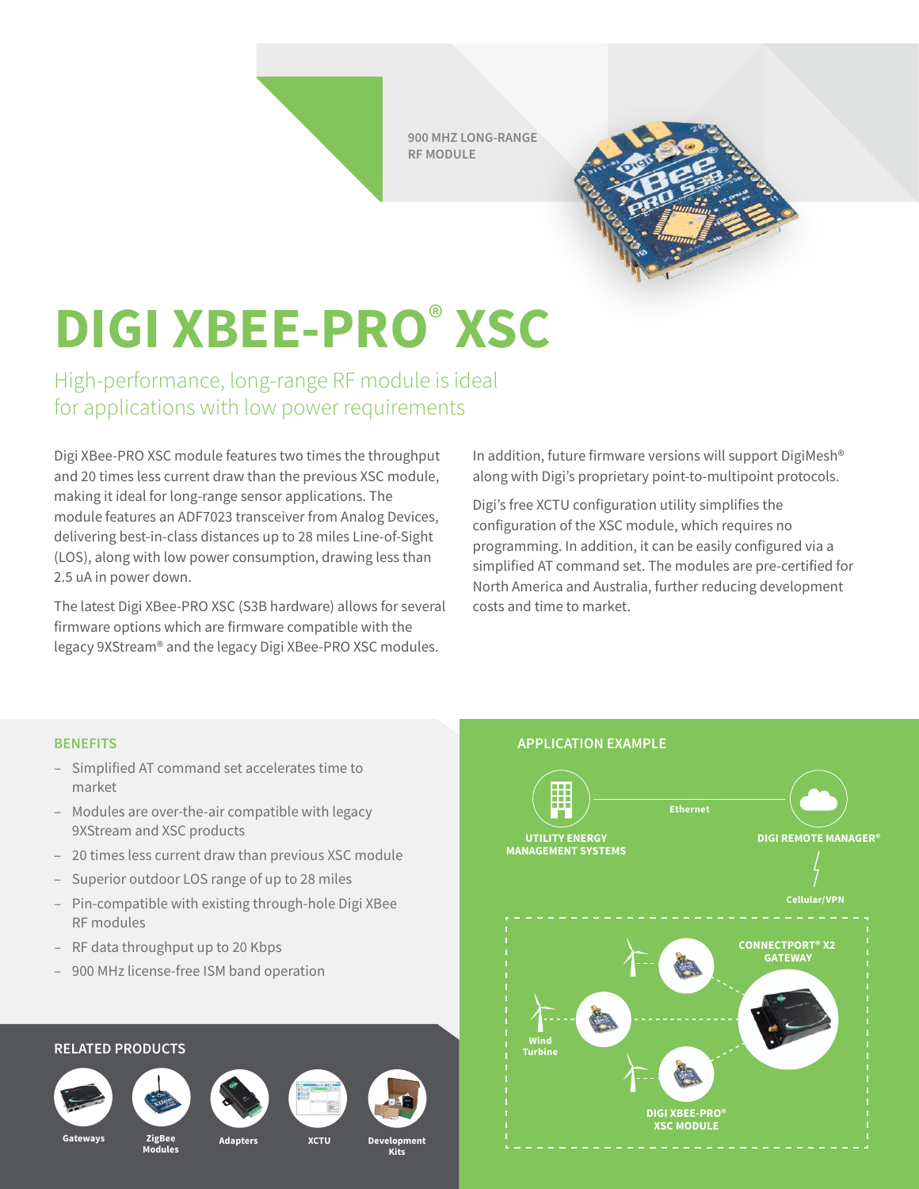**900 MHZ LONG-RANGE RF MODULE**



## **DIGI XBEE-PRO**®  **XSC**

High-performance, long-range RF module is ideal for applications with low power requirements

Digi XBee-PRO XSC module features two times the throughput and 20 times less current draw than the previous XSC module, making it ideal for long-range sensor applications. The module features an ADF7023 transceiver from Analog Devices, delivering best-in-class distances up to 28 miles Line-of-Sight (LOS), along with low power consumption, drawing less than 2.5 uA in power down.

The latest Digi XBee-PRO XSC (S3B hardware) allows for several firmware options which are firmware compatible with the legacy 9XStream® and the legacy Digi XBee-PRO XSC modules.

In addition, future firmware versions will support DigiMesh® along with Digi's proprietary point-to-multipoint protocols.

Digi's free XCTU configuration utility simplifies the configuration of the XSC module, which requires no programming. In addition, it can be easily configured via a simplified AT command set. The modules are pre-certified for North America and Australia, further reducing development costs and time to market.

- Simplified AT command set accelerates time to market
- Modules are over-the-air compatible with legacy 9XStream and XSC products
- 20 times less current draw than previous XSC module
- Superior outdoor LOS range of up to 28 miles
- Pin-compatible with existing through-hole Digi XBee RF modules
- RF data throughput up to 20 Kbps
- 900 MHz license-free ISM band operation

## **RELATED PRODUCTS**











**Kits**



Gateways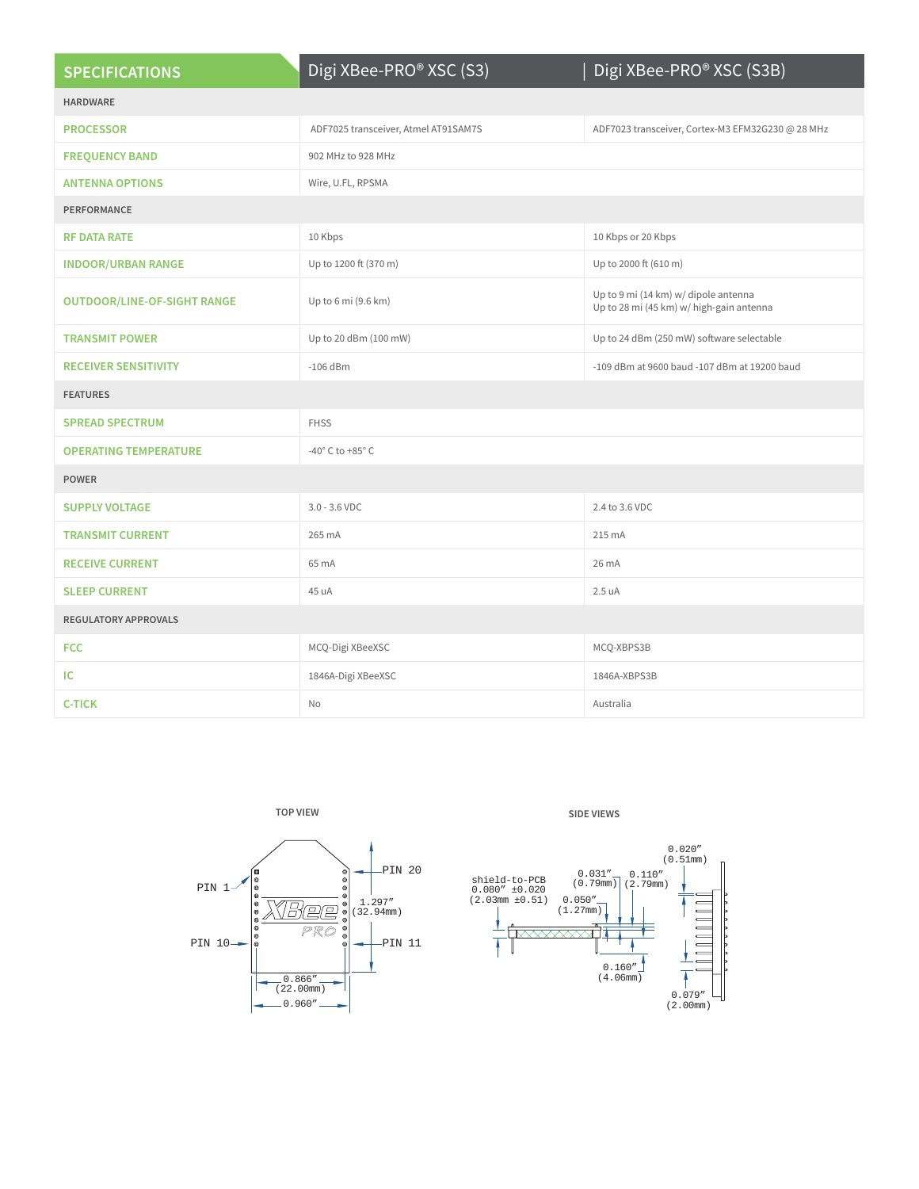| <b>SPECIFICATIONS</b>              | Digi XBee-PRO® XSC (S3)              | Digi XBee-PRO® XSC (S3B)                                                         |
|------------------------------------|--------------------------------------|----------------------------------------------------------------------------------|
| <b>HARDWARE</b>                    |                                      |                                                                                  |
| <b>PROCESSOR</b>                   | ADF7025 transceiver, Atmel AT91SAM7S | ADF7023 transceiver, Cortex-M3 EFM32G230 @ 28 MHz                                |
| <b>FREQUENCY BAND</b>              | 902 MHz to 928 MHz                   |                                                                                  |
| <b>ANTENNA OPTIONS</b>             | Wire, U.FL, RPSMA                    |                                                                                  |
| PERFORMANCE                        |                                      |                                                                                  |
| <b>RF DATA RATE</b>                | 10 Kbps                              | 10 Kbps or 20 Kbps                                                               |
| <b>INDOOR/URBAN RANGE</b>          | Up to 1200 ft (370 m)                | Up to 2000 ft (610 m)                                                            |
| <b>OUTDOOR/LINE-OF-SIGHT RANGE</b> | Up to 6 mi (9.6 km)                  | Up to 9 mi (14 km) w/ dipole antenna<br>Up to 28 mi (45 km) w/ high-gain antenna |
| <b>TRANSMIT POWER</b>              | Up to 20 dBm (100 mW)                | Up to 24 dBm (250 mW) software selectable                                        |
| <b>RECEIVER SENSITIVITY</b>        | $-106$ dBm                           | -109 dBm at 9600 baud -107 dBm at 19200 baud                                     |
| <b>FEATURES</b>                    |                                      |                                                                                  |
| <b>SPREAD SPECTRUM</b>             | <b>FHSS</b>                          |                                                                                  |
| <b>OPERATING TEMPERATURE</b>       | -40 $^{\circ}$ C to +85 $^{\circ}$ C |                                                                                  |
| <b>POWER</b>                       |                                      |                                                                                  |
| <b>SUPPLY VOLTAGE</b>              | $3.0 - 3.6$ VDC                      | 2.4 to 3.6 VDC                                                                   |
| <b>TRANSMIT CURRENT</b>            | 265 mA                               | 215 mA                                                                           |
| <b>RECEIVE CURRENT</b>             | 65 mA                                | 26 mA                                                                            |
| <b>SLEEP CURRENT</b>               | 45 uA                                | 2.5 uA                                                                           |
| <b>REGULATORY APPROVALS</b>        |                                      |                                                                                  |
| <b>FCC</b>                         | MCQ-Digi XBeeXSC                     | MCQ-XBPS3B                                                                       |
| IC                                 | 1846A-Digi XBeeXSC                   | 1846A-XBPS3B                                                                     |
| <b>C-TICK</b>                      | No                                   | Australia                                                                        |